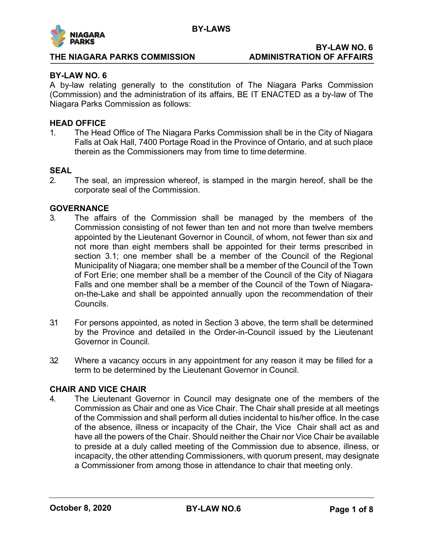

## **BY-LAW NO. 6**

## **BY-LAW NO. 6**

A by-law relating generally to the constitution of The Niagara Parks Commission (Commission) and the administration of its affairs, BE IT ENACTED as a by-law of The Niagara Parks Commission as follows:

## **HEAD OFFICE**

1. The Head Office of The Niagara Parks Commission shall be in the City of Niagara Falls at Oak Hall, 7400 Portage Road in the Province of Ontario, and at such place therein as the Commissioners may from time to time determine.

## **SEAL**

2. The seal, an impression whereof, is stamped in the margin hereof, shall be the corporate seal of the Commission.

## **GOVERNANCE**

- 3. The affairs of the Commission shall be managed by the members of the Commission consisting of not fewer than ten and not more than twelve members appointed by the Lieutenant Governor in Council, of whom, not fewer than six and not more than eight members shall be appointed for their terms prescribed in section 3.1; one member shall be a member of the Council of the Regional Municipality of Niagara; one member shall be a member of the Council of the Town of Fort Erie; one member shall be a member of the Council of the City of Niagara Falls and one member shall be a member of the Council of the Town of Niagaraon-the-Lake and shall be appointed annually upon the recommendation of their Councils.
- 3.1 For persons appointed, as noted in Section 3 above, the term shall be determined by the Province and detailed in the Order-in-Council issued by the Lieutenant Governor in Council.
- 32 Where a vacancy occurs in any appointment for any reason it may be filled for a term to be determined by the Lieutenant Governor in Council.

## **CHAIR AND VICE CHAIR**

4. The Lieutenant Governor in Council may designate one of the members of the Commission as Chair and one as Vice Chair. The Chair shall preside at all meetings of the Commission and shall perform all duties incidental to his/her office. In the case of the absence, illness or incapacity of the Chair, the Vice Chair shall act as and have all the powers of the Chair. Should neither the Chair nor Vice Chair be available to preside at a duly called meeting of the Commission due to absence, illness, or incapacity, the other attending Commissioners, with quorum present, may designate a Commissioner from among those in attendance to chair that meeting only.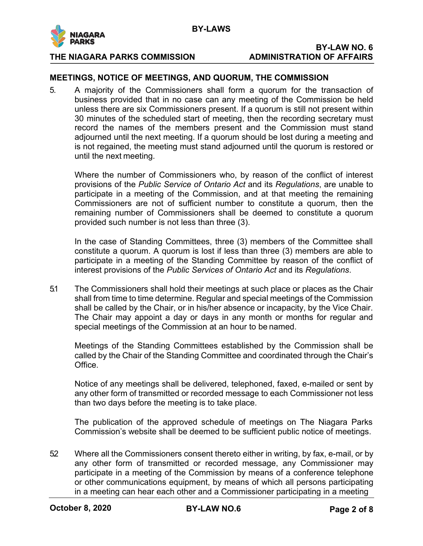

# **BY-LAW NO. 6**

## **MEETINGS, NOTICE OF MEETINGS, AND QUORUM, THE COMMISSION**

5. A majority of the Commissioners shall form a quorum for the transaction of business provided that in no case can any meeting of the Commission be held unless there are six Commissioners present. If a quorum is still not present within 30 minutes of the scheduled start of meeting, then the recording secretary must record the names of the members present and the Commission must stand adjourned until the next meeting. If a quorum should be lost during a meeting and is not regained, the meeting must stand adjourned until the quorum is restored or until the next meeting.

Where the number of Commissioners who, by reason of the conflict of interest provisions of the *Public Service of Ontario Act* and its *Regulations*, are unable to participate in a meeting of the Commission, and at that meeting the remaining Commissioners are not of sufficient number to constitute a quorum, then the remaining number of Commissioners shall be deemed to constitute a quorum provided such number is not less than three (3).

In the case of Standing Committees, three (3) members of the Committee shall constitute a quorum. A quorum is lost if less than three (3) members are able to participate in a meeting of the Standing Committee by reason of the conflict of interest provisions of the *Public Services of Ontario Act* and its *Regulations*.

5.1 The Commissioners shall hold their meetings at such place or places as the Chair shall from time to time determine. Regular and special meetings of the Commission shall be called by the Chair, or in his/her absence or incapacity, by the Vice Chair. The Chair may appoint a day or days in any month or months for regular and special meetings of the Commission at an hour to be named.

Meetings of the Standing Committees established by the Commission shall be called by the Chair of the Standing Committee and coordinated through the Chair's Office.

Notice of any meetings shall be delivered, telephoned, faxed, e-mailed or sent by any other form of transmitted or recorded message to each Commissioner not less than two days before the meeting is to take place.

The publication of the approved schedule of meetings on The Niagara Parks Commission's website shall be deemed to be sufficient public notice of meetings.

52 Where all the Commissioners consent thereto either in writing, by fax, e-mail, or by any other form of transmitted or recorded message, any Commissioner may participate in a meeting of the Commission by means of a conference telephone or other communications equipment, by means of which all persons participating in a meeting can hear each other and a Commissioner participating in a meeting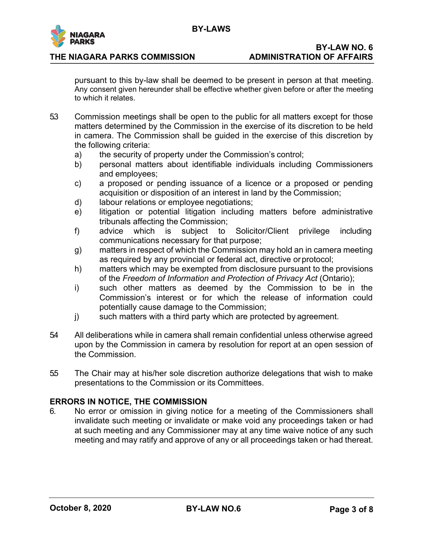

## **BY-LAW NO. 6**

pursuant to this by-law shall be deemed to be present in person at that meeting. Any consent given hereunder shall be effective whether given before or after the meeting to which it relates.

- 5.3 Commission meetings shall be open to the public for all matters except for those matters determined by the Commission in the exercise of its discretion to be held in camera. The Commission shall be guided in the exercise of this discretion by the following criteria:
	- a) the security of property under the Commission's control;
	- b) personal matters about identifiable individuals including Commissioners and employees;
	- c) a proposed or pending issuance of a licence or a proposed or pending acquisition or disposition of an interest in land by the Commission;
	- d) labour relations or employee negotiations;
	- e) litigation or potential litigation including matters before administrative tribunals affecting the Commission;
	- f) advice which is subject to Solicitor/Client privilege including communications necessary for that purpose;
	- g) matters in respect of which the Commission may hold an in camera meeting as required by any provincial or federal act, directive orprotocol;
	- h) matters which may be exempted from disclosure pursuant to the provisions of the *Freedom of Information and Protection of Privacy Act* (Ontario);
	- i) such other matters as deemed by the Commission to be in the Commission's interest or for which the release of information could potentially cause damage to the Commission;
	- j) such matters with a third party which are protected by agreement.
- 5.4 All deliberations while in camera shall remain confidential unless otherwise agreed upon by the Commission in camera by resolution for report at an open session of the Commission.
- 5.5 The Chair may at his/her sole discretion authorize delegations that wish to make presentations to the Commission or its Committees.

## **ERRORS IN NOTICE, THE COMMISSION**

6. No error or omission in giving notice for a meeting of the Commissioners shall invalidate such meeting or invalidate or make void any proceedings taken or had at such meeting and any Commissioner may at any time waive notice of any such meeting and may ratify and approve of any or all proceedings taken or had thereat.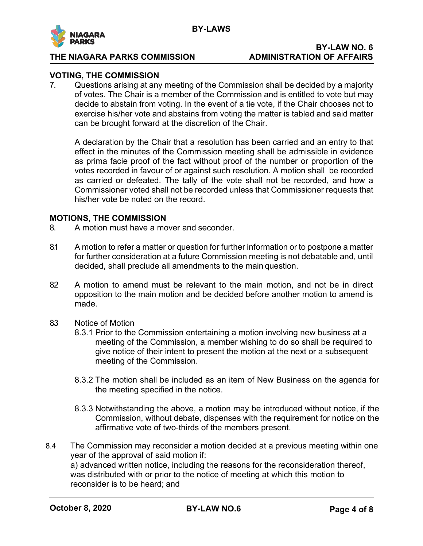

# **BY-LAW NO. 6**

## **VOTING, THE COMMISSION**

7. Questions arising at any meeting of the Commission shall be decided by a majority of votes. The Chair is a member of the Commission and is entitled to vote but may decide to abstain from voting. In the event of a tie vote, if the Chair chooses not to exercise his/her vote and abstains from voting the matter is tabled and said matter can be brought forward at the discretion of the Chair.

A declaration by the Chair that a resolution has been carried and an entry to that effect in the minutes of the Commission meeting shall be admissible in evidence as prima facie proof of the fact without proof of the number or proportion of the votes recorded in favour of or against such resolution. A motion shall be recorded as carried or defeated. The tally of the vote shall not be recorded, and how a Commissioner voted shall not be recorded unless that Commissioner requests that his/her vote be noted on the record.

## **MOTIONS, THE COMMISSION**

- 8. A motion must have a mover and seconder.
- 8.1 A motion to refer a matter or question for further information or to postpone a matter for further consideration at a future Commission meeting is not debatable and, until decided, shall preclude all amendments to the main question.
- 82 A motion to amend must be relevant to the main motion, and not be in direct opposition to the main motion and be decided before another motion to amend is made.
- 8.3 Notice of Motion
	- 8.3.1 Prior to the Commission entertaining a motion involving new business at a meeting of the Commission, a member wishing to do so shall be required to give notice of their intent to present the motion at the next or a subsequent meeting of the Commission.
	- 8.3.2 The motion shall be included as an item of New Business on the agenda for the meeting specified in the notice.
	- 8.3.3 Notwithstanding the above, a motion may be introduced without notice, if the Commission, without debate, dispenses with the requirement for notice on the affirmative vote of two-thirds of the members present.
- 8.4 The Commission may reconsider a motion decided at a previous meeting within one year of the approval of said motion if: a) advanced written notice, including the reasons for the reconsideration thereof, was distributed with or prior to the notice of meeting at which this motion to reconsider is to be heard; and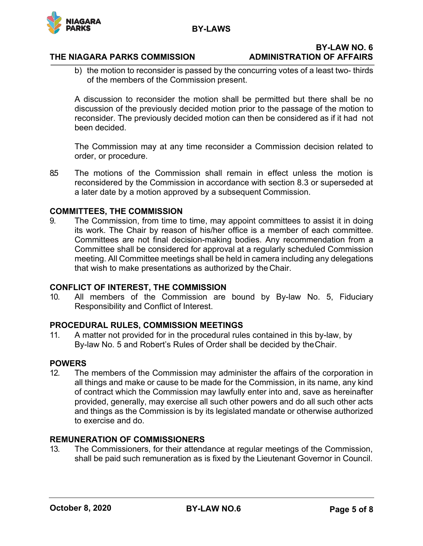**BY-LAWS**



## **THE NIAGARA PARKS COMMISSION ADMINISTRATION OF AFFAIRS**

# **BY-LAW NO. 6**

b) the motion to reconsider is passed by the concurring votes of a least two- thirds of the members of the Commission present.

A discussion to reconsider the motion shall be permitted but there shall be no discussion of the previously decided motion prior to the passage of the motion to reconsider. The previously decided motion can then be considered as if it had not been decided.

The Commission may at any time reconsider a Commission decision related to order, or procedure.

8.5 The motions of the Commission shall remain in effect unless the motion is reconsidered by the Commission in accordance with section 8.3 or superseded at a later date by a motion approved by a subsequent Commission.

## **COMMITTEES, THE COMMISSION**

9. The Commission, from time to time, may appoint committees to assist it in doing its work. The Chair by reason of his/her office is a member of each committee. Committees are not final decision-making bodies. Any recommendation from a Committee shall be considered for approval at a regularly scheduled Commission meeting. All Committee meetings shall be held in camera including any delegations that wish to make presentations as authorized by the Chair.

## **CONFLICT OF INTEREST, THE COMMISSION**

10. All members of the Commission are bound by By-law No. 5, Fiduciary Responsibility and Conflict of Interest.

## **PROCEDURAL RULES, COMMISSION MEETINGS**

11. A matter not provided for in the procedural rules contained in this by-law, by By-law No. 5 and Robert's Rules of Order shall be decided by theChair.

## **POWERS**

12. The members of the Commission may administer the affairs of the corporation in all things and make or cause to be made for the Commission, in its name, any kind of contract which the Commission may lawfully enter into and, save as hereinafter provided, generally, may exercise all such other powers and do all such other acts and things as the Commission is by its legislated mandate or otherwise authorized to exercise and do.

## **REMUNERATION OF COMMISSIONERS**

13. The Commissioners, for their attendance at regular meetings of the Commission, shall be paid such remuneration as is fixed by the Lieutenant Governor in Council.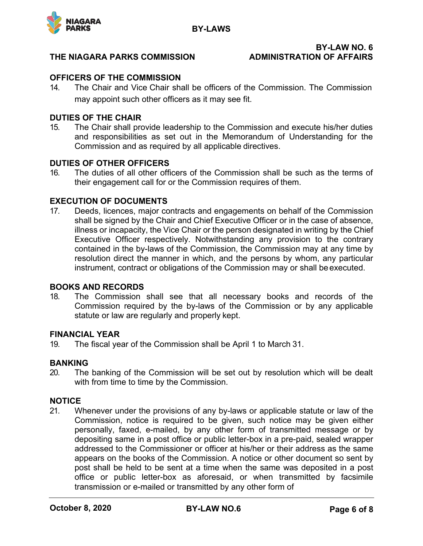

# **BY-LAW NO. 6**

## **OFFICERS OF THE COMMISSION**

14. The Chair and Vice Chair shall be officers of the Commission. The Commission may appoint such other officers as it may see fit.

## **DUTIES OF THE CHAIR**

15. The Chair shall provide leadership to the Commission and execute his/her duties and responsibilities as set out in the Memorandum of Understanding for the Commission and as required by all applicable directives.

## **DUTIES OF OTHER OFFICERS**

16. The duties of all other officers of the Commission shall be such as the terms of their engagement call for or the Commission requires of them.

## **EXECUTION OF DOCUMENTS**

17. Deeds, licences, major contracts and engagements on behalf of the Commission shall be signed by the Chair and Chief Executive Officer or in the case of absence, illness or incapacity, the Vice Chair or the person designated in writing by the Chief Executive Officer respectively. Notwithstanding any provision to the contrary contained in the by-laws of the Commission, the Commission may at any time by resolution direct the manner in which, and the persons by whom, any particular instrument, contract or obligations of the Commission may or shall be executed.

## **BOOKS AND RECORDS**

18. The Commission shall see that all necessary books and records of the Commission required by the by-laws of the Commission or by any applicable statute or law are regularly and properly kept.

## **FINANCIAL YEAR**

19. The fiscal year of the Commission shall be April 1 to March 31.

## **BANKING**

20. The banking of the Commission will be set out by resolution which will be dealt with from time to time by the Commission.

## **NOTICE**

21. Whenever under the provisions of any by-laws or applicable statute or law of the Commission, notice is required to be given, such notice may be given either personally, faxed, e-mailed, by any other form of transmitted message or by depositing same in a post office or public letter-box in a pre-paid, sealed wrapper addressed to the Commissioner or officer at his/her or their address as the same appears on the books of the Commission. A notice or other document so sent by post shall be held to be sent at a time when the same was deposited in a post office or public letter-box as aforesaid, or when transmitted by facsimile transmission or e-mailed or transmitted by any other form of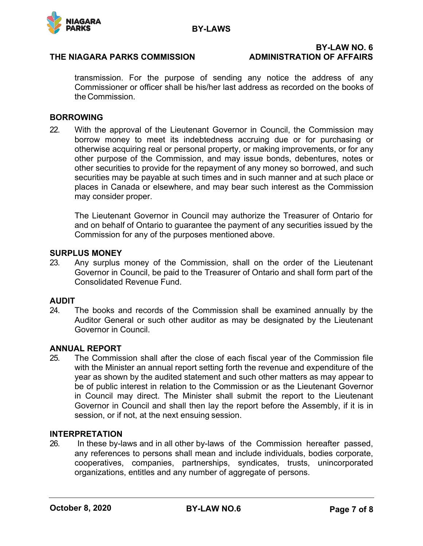

## **BY-LAW NO. 6**

transmission. For the purpose of sending any notice the address of any Commissioner or officer shall be his/her last address as recorded on the books of the Commission.

## **BORROWING**

22. With the approval of the Lieutenant Governor in Council, the Commission may borrow money to meet its indebtedness accruing due or for purchasing or otherwise acquiring real or personal property, or making improvements, or for any other purpose of the Commission, and may issue bonds, debentures, notes or other securities to provide for the repayment of any money so borrowed, and such securities may be payable at such times and in such manner and at such place or places in Canada or elsewhere, and may bear such interest as the Commission may consider proper.

The Lieutenant Governor in Council may authorize the Treasurer of Ontario for and on behalf of Ontario to guarantee the payment of any securities issued by the Commission for any of the purposes mentioned above.

## **SURPLUS MONEY**

23. Any surplus money of the Commission, shall on the order of the Lieutenant Governor in Council, be paid to the Treasurer of Ontario and shall form part of the Consolidated Revenue Fund.

## **AUDIT**

24. The books and records of the Commission shall be examined annually by the Auditor General or such other auditor as may be designated by the Lieutenant Governor in Council.

## **ANNUAL REPORT**

25. The Commission shall after the close of each fiscal year of the Commission file with the Minister an annual report setting forth the revenue and expenditure of the year as shown by the audited statement and such other matters as may appear to be of public interest in relation to the Commission or as the Lieutenant Governor in Council may direct. The Minister shall submit the report to the Lieutenant Governor in Council and shall then lay the report before the Assembly, if it is in session, or if not, at the next ensuing session.

## **INTERPRETATION**

26. In these by-laws and in all other by-laws of the Commission hereafter passed, any references to persons shall mean and include individuals, bodies corporate, cooperatives, companies, partnerships, syndicates, trusts, unincorporated organizations, entitles and any number of aggregate of persons.